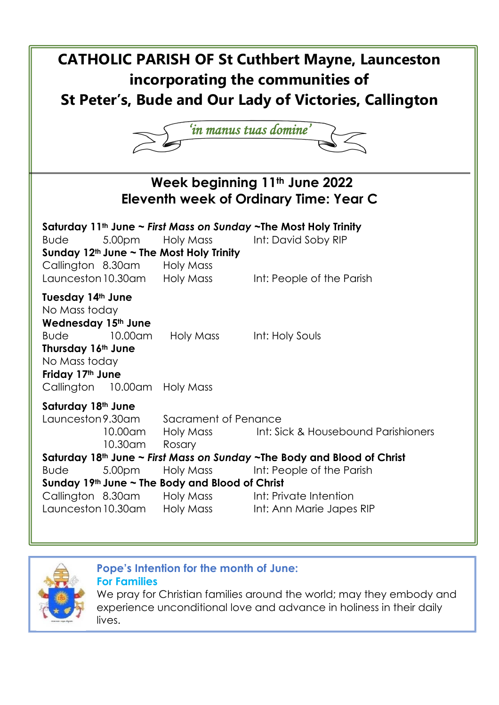



**Pope's Intention for the month of June:** 

**For Families**

We pray for Christian families around the world; may they embody and experience unconditional love and advance in holiness in their daily lives.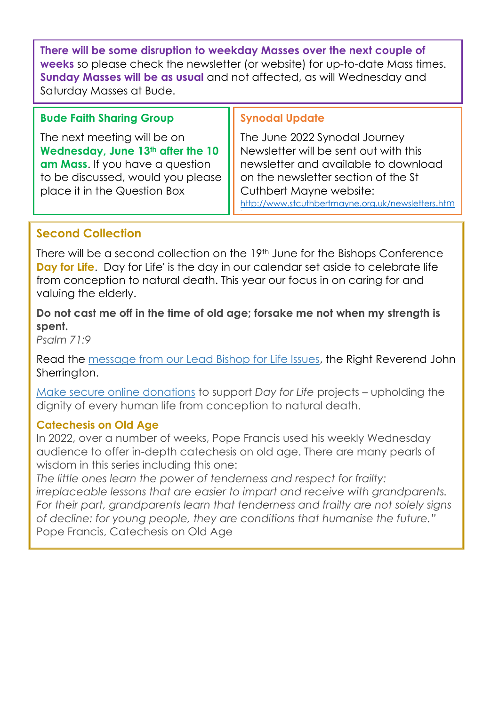**There will be some disruption to weekday Masses over the next couple of weeks** so please check the newsletter (or website) for up-to-date Mass times. **Sunday Masses will be as usual** and not affected, as will Wednesday and Saturday Masses at Bude.

## **Bude Faith Sharing Group**

The next meeting will be on **Wednesday, June 13th after the 10 am Mass**. If you have a question to be discussed, would you please place it in the Question Box

### **Synodal Update**

The June 2022 Synodal Journey Newsletter will be sent out with this newsletter and available to download on the newsletter section of the St Cuthbert Mayne website: [http://www.stcuthbertmayne.org.uk/newsletters](http://www.stcuthbertmayne.org.uk/newsletters.htm).ht[m](http://www.stcuthbertmayne.org.uk/newsletters.htm)

## **Second Collection**

There will be a second collection on the 19th June for the Bishops Conference **Day for Life**. Day for Life' is the day in our calendar set aside to celebrate life from conception to natural death. This year our focus in on caring for and valuing the elderly.

l

### **Do not cast me off in the time of old age; forsake me not when my strength is spent.**

*Psalm 71:9*

Read the [message from our Lead Bishop for Life Issues,](https://www.cbcew.org.uk/dfl22-bishops-message/) the Right Reverend John Sherrington.

[Make secure online donations](https://www.cbcew.org.uk/dfl22-donate/) to support *Day for Life* projects – upholding the dignity of every human life from conception to natural death.

## **Catechesis on Old Age**

In 2022, over a number of weeks, Pope Francis used his weekly Wednesday audience to offer in-depth catechesis on old age. There are many pearls of wisdom in this series including this one:

*The little ones learn the power of tenderness and respect for frailty: irreplaceable lessons that are easier to impart and receive with grandparents. For their part, grandparents learn that tenderness and frailty are not solely signs of decline: for young people, they are conditions that humanise the future."* Pope Francis, Catechesis on Old Age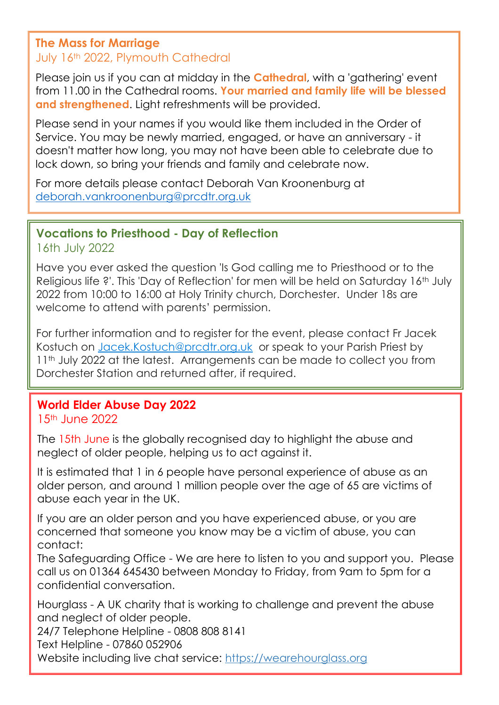## **The Mass for Marriage** July 16th 2022, Plymouth Cathedral

Please join us if you can at midday in the **Cathedral**, with a 'gathering' event from 11.00 in the Cathedral rooms. **Your married and family life will be blessed and strengthened**. Light refreshments will be provided.

Please send in your names if you would like them included in the Order of Service. You may be newly married, engaged, or have an anniversary - it doesn't matter how long, you may not have been able to celebrate due to lock down, so bring your friends and family and celebrate now.

For more details please contact Deborah Van Kroonenburg at [deborah.vankroonenburg@prcdtr.org.uk](mailto:deborah.vankroonenburg@prcdtr.org.uk)

# **Vocations to Priesthood - Day of Reflection**

16th July 2022

Have you ever asked the question 'Is God calling me to Priesthood or to the Religious life ?'. This 'Day of Reflection' for men will be held on Saturday 16th July 2022 from 10:00 to 16:00 at Holy Trinity church, Dorchester. Under 18s are welcome to attend with parents' permission.

For further information and to register for the event, please contact Fr Jacek Kostuch on [Jacek.Kostuch@prcdtr.org.uk](mailto:Jacek.Kostuch@prcdtr.org.uk) or speak to your Parish Priest by 11<sup>th</sup> July 2022 at the latest. Arrangements can be made to collect you from Dorchester Station and returned after, if required.

## **World Elder Abuse Day 2022**

## 15th June 2022

The 15th June is the globally recognised day to highlight the abuse and neglect of older people, helping us to act against it.

It is estimated that 1 in 6 people have personal experience of abuse as an older person, and around 1 million people over the age of 65 are victims of abuse each year in the UK.

If you are an older person and you have experienced abuse, or you are concerned that someone you know may be a victim of abuse, you can contact:

The Safeguarding Office - We are here to listen to you and support you. Please call us on 01364 645430 between Monday to Friday, from 9am to 5pm for a confidential conversation.

Hourglass - A UK charity that is working to challenge and prevent the abuse and neglect of older people.

24/7 Telephone Helpline - 0808 808 8141

Text Helpline - 07860 052906

Website including live chat service: [https://wearehourglass.org](https://linkprotect.cudasvc.com/url?a=https%3a%2f%2fwearehourglass.org%2f&c=E,1,X-a6ijboYQl0bf7QjmPf_rggUmt5OdMKgm5E9sKRKRqbxNAOSZRVCMdTmLecx5AlvCjv0agTcRELZGhR0pS16GIUJQS1qyrOriVfjblUry7P4onaRteJ&typo=1)